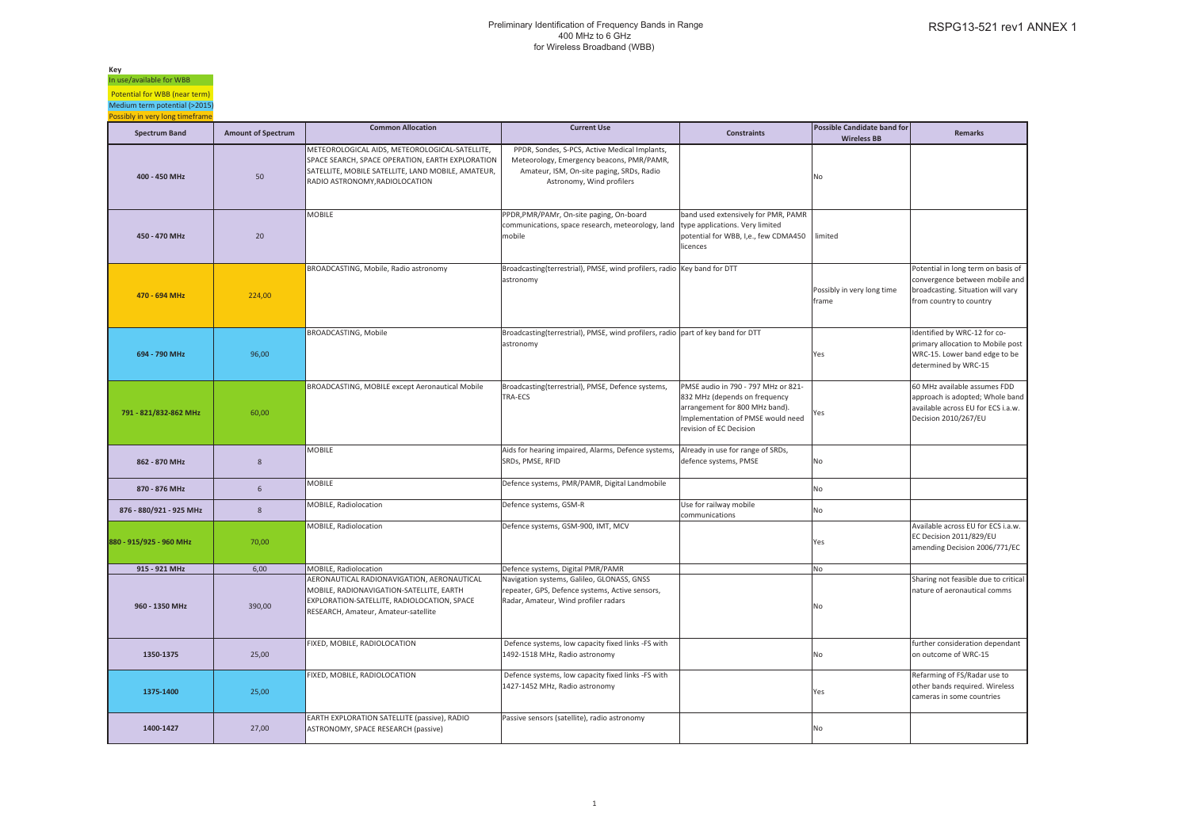**Key** In use/available for WBBPotential for WBB (near term)

Medium term potential (>2015) Possibly in very long timeframe

| <b>Spectrum Band</b>    | <b>Amount of Spectrum</b> | <b>Common Allocation</b>                                                                                                                                                                   | <b>Current Use</b>                                                                                                                                                   | <b>Constraints</b>                                                                                                                                                     | <b>Possible Candidate band for</b>  | <b>Remarks</b>                                                                                                                       |
|-------------------------|---------------------------|--------------------------------------------------------------------------------------------------------------------------------------------------------------------------------------------|----------------------------------------------------------------------------------------------------------------------------------------------------------------------|------------------------------------------------------------------------------------------------------------------------------------------------------------------------|-------------------------------------|--------------------------------------------------------------------------------------------------------------------------------------|
|                         |                           |                                                                                                                                                                                            |                                                                                                                                                                      |                                                                                                                                                                        | <b>Wireless BB</b>                  |                                                                                                                                      |
| 400 - 450 MHz           | 50                        | METEOROLOGICAL AIDS, METEOROLOGICAL-SATELLITE,<br>SPACE SEARCH, SPACE OPERATION, EARTH EXPLORATION<br>SATELLITE, MOBILE SATELLITE, LAND MOBILE, AMATEUR,<br>RADIO ASTRONOMY, RADIOLOCATION | PPDR, Sondes, S-PCS, Active Medical Implants,<br>Meteorology, Emergency beacons, PMR/PAMR,<br>Amateur, ISM, On-site paging, SRDs, Radio<br>Astronomy, Wind profilers |                                                                                                                                                                        | No                                  |                                                                                                                                      |
| 450 - 470 MHz           | 20                        | <b>MOBILE</b>                                                                                                                                                                              | PPDR, PMR/PAMr, On-site paging, On-board<br>communications, space research, meteorology, land<br>mobile                                                              | band used extensively for PMR, PAMR<br>type applications. Very limited<br>potential for WBB, I,e., few CDMA450<br>licences                                             | limited                             |                                                                                                                                      |
| 470 - 694 MHz           | 224,00                    | BROADCASTING, Mobile, Radio astronomy                                                                                                                                                      | Broadcasting(terrestrial), PMSE, wind profilers, radio Key band for DTT<br>astronomy                                                                                 |                                                                                                                                                                        | Possibly in very long time<br>frame | Potential in long term on basis of<br>convergence between mobile and<br>broadcasting. Situation will vary<br>from country to country |
| 694 - 790 MHz           | 96,00                     | BROADCASTING, Mobile                                                                                                                                                                       | Broadcasting(terrestrial), PMSE, wind profilers, radio part of key band for DTT<br>astronomy                                                                         |                                                                                                                                                                        | Yes                                 | Identified by WRC-12 for co-<br>primary allocation to Mobile post<br>WRC-15. Lower band edge to be<br>determined by WRC-15           |
| 791 - 821/832-862 MHz   | 60,00                     | BROADCASTING, MOBILE except Aeronautical Mobile                                                                                                                                            | Broadcasting(terrestrial), PMSE, Defence systems,<br>TRA-ECS                                                                                                         | PMSE audio in 790 - 797 MHz or 821-<br>832 MHz (depends on frequency<br>arrangement for 800 MHz band).<br>Implementation of PMSE would need<br>revision of EC Decision | Yes                                 | 60 MHz available assumes FDD<br>approach is adopted; Whole band<br>available across EU for ECS i.a.w.<br>Decision 2010/267/EU        |
| 862 - 870 MHz           | 8                         | <b>MOBILE</b>                                                                                                                                                                              | Aids for hearing impaired, Alarms, Defence systems,<br>SRDs, PMSE, RFID                                                                                              | Already in use for range of SRDs,<br>defence systems, PMSE                                                                                                             | No                                  |                                                                                                                                      |
| 870 - 876 MHz           | 6                         | <b>MOBILE</b>                                                                                                                                                                              | Defence systems, PMR/PAMR, Digital Landmobile                                                                                                                        |                                                                                                                                                                        | No                                  |                                                                                                                                      |
| 876 - 880/921 - 925 MHz | 8                         | MOBILE, Radiolocation                                                                                                                                                                      | Defence systems, GSM-R                                                                                                                                               | Use for railway mobile<br>communications                                                                                                                               | No                                  |                                                                                                                                      |
| 880 - 915/925 - 960 MHz | 70.00                     | MOBILE, Radiolocation                                                                                                                                                                      | Defence systems, GSM-900, IMT, MCV                                                                                                                                   |                                                                                                                                                                        | Yes                                 | Available across EU for ECS i.a.w.<br>EC Decision 2011/829/EU<br>amending Decision 2006/771/EC                                       |
| 915 - 921 MHz           | 6,00                      | MOBILE, Radiolocation                                                                                                                                                                      | Defence systems, Digital PMR/PAMR                                                                                                                                    |                                                                                                                                                                        | No                                  |                                                                                                                                      |
| 960 - 1350 MHz          | 390,00                    | AERONAUTICAL RADIONAVIGATION, AERONAUTICAL<br>MOBILE, RADIONAVIGATION-SATELLITE, EARTH<br>EXPLORATION-SATELLITE, RADIOLOCATION, SPACE<br>RESEARCH, Amateur, Amateur-satellite              | Navigation systems, Galileo, GLONASS, GNSS<br>repeater, GPS, Defence systems, Active sensors,<br>Radar, Amateur, Wind profiler radars                                |                                                                                                                                                                        | No                                  | Sharing not feasible due to critical<br>nature of aeronautical comms                                                                 |
| 1350-1375               | 25,00                     | FIXED, MOBILE, RADIOLOCATION                                                                                                                                                               | Defence systems, low capacity fixed links -FS with<br>1492-1518 MHz, Radio astronomy                                                                                 |                                                                                                                                                                        | No                                  | further consideration dependant<br>on outcome of WRC-15                                                                              |
| 1375-1400               | 25,00                     | FIXED, MOBILE, RADIOLOCATION                                                                                                                                                               | Defence systems, low capacity fixed links -FS with<br>1427-1452 MHz, Radio astronomy                                                                                 |                                                                                                                                                                        | Yes                                 | Refarming of FS/Radar use to<br>other bands required. Wireless<br>cameras in some countries                                          |
| 1400-1427               | 27,00                     | EARTH EXPLORATION SATELLITE (passive), RADIO<br>ASTRONOMY, SPACE RESEARCH (passive)                                                                                                        | Passive sensors (satellite), radio astronomy                                                                                                                         |                                                                                                                                                                        | No                                  |                                                                                                                                      |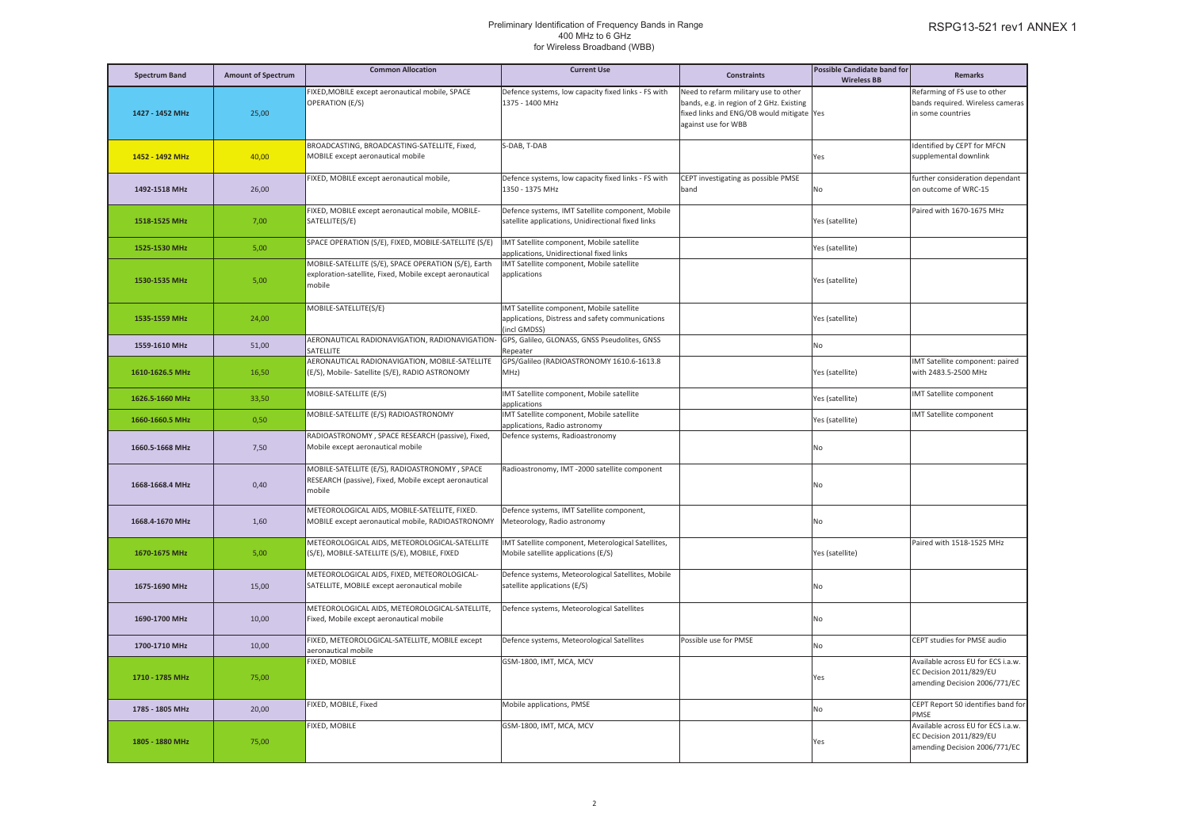| <b>Spectrum Band</b> | <b>Amount of Spectrum</b> | <b>Common Allocation</b>                                                                                                   | <b>Current Use</b>                                                                                           | <b>Constraints</b>                                                                                                                                   | <b>Possible Candidate band for</b><br><b>Wireless BB</b> | <b>Remarks</b>                                                                                 |
|----------------------|---------------------------|----------------------------------------------------------------------------------------------------------------------------|--------------------------------------------------------------------------------------------------------------|------------------------------------------------------------------------------------------------------------------------------------------------------|----------------------------------------------------------|------------------------------------------------------------------------------------------------|
| 1427 - 1452 MHz      | 25,00                     | FIXED, MOBILE except aeronautical mobile, SPACE<br>OPERATION (E/S)                                                         | Defence systems, low capacity fixed links - FS with<br>1375 - 1400 MHz                                       | Need to refarm military use to other<br>bands, e.g. in region of 2 GHz. Existing<br>fixed links and ENG/OB would mitigate Yes<br>against use for WBB |                                                          | Refarming of FS use to other<br>bands required. Wireless cameras<br>in some countries          |
| 1452 - 1492 MHz      | 40,00                     | BROADCASTING, BROADCASTING-SATELLITE, Fixed,<br>MOBILE except aeronautical mobile                                          | S-DAB, T-DAB                                                                                                 |                                                                                                                                                      | Yes                                                      | Identified by CEPT for MFCN<br>supplemental downlink                                           |
| 1492-1518 MHz        | 26,00                     | FIXED, MOBILE except aeronautical mobile,                                                                                  | Defence systems, low capacity fixed links - FS with<br>1350 - 1375 MHz                                       | CEPT investigating as possible PMSE<br>band                                                                                                          | No                                                       | further consideration dependant<br>on outcome of WRC-15                                        |
| 1518-1525 MHz        | 7,00                      | FIXED, MOBILE except aeronautical mobile, MOBILE-<br>SATELLITE(S/E)                                                        | Defence systems, IMT Satellite component, Mobile<br>satellite applications, Unidirectional fixed links       |                                                                                                                                                      | Yes (satellite)                                          | Paired with 1670-1675 MHz                                                                      |
| 1525-1530 MHz        | 5,00                      | SPACE OPERATION (S/E), FIXED, MOBILE-SATELLITE (S/E)                                                                       | IMT Satellite component, Mobile satellite<br>pplications, Unidirectional fixed links                         |                                                                                                                                                      | Yes (satellite)                                          |                                                                                                |
| 1530-1535 MHz        | 5,00                      | MOBILE-SATELLITE (S/E), SPACE OPERATION (S/E), Earth<br>exploration-satellite, Fixed, Mobile except aeronautical<br>mobile | IMT Satellite component, Mobile satellite<br>applications                                                    |                                                                                                                                                      | Yes (satellite)                                          |                                                                                                |
| 1535-1559 MHz        | 24,00                     | MOBILE-SATELLITE(S/E)                                                                                                      | IMT Satellite component, Mobile satellite<br>applications, Distress and safety communications<br>incl GMDSS) |                                                                                                                                                      | Yes (satellite)                                          |                                                                                                |
| 1559-1610 MHz        | 51,00                     | AERONAUTICAL RADIONAVIGATION, RADIONAVIGATION-<br>SATELLITE                                                                | GPS, Galileo, GLONASS, GNSS Pseudolites, GNSS<br>Repeater                                                    |                                                                                                                                                      | No                                                       |                                                                                                |
| 1610-1626.5 MHz      | 16,50                     | AERONAUTICAL RADIONAVIGATION, MOBILE-SATELLITE<br>(E/S), Mobile- Satellite (S/E), RADIO ASTRONOMY                          | GPS/Galileo (RADIOASTRONOMY 1610.6-1613.8<br>MHz)                                                            |                                                                                                                                                      | Yes (satellite)                                          | IMT Satellite component: paired<br>with 2483.5-2500 MHz                                        |
| 1626.5-1660 MHz      | 33,50                     | MOBILE-SATELLITE (E/S)                                                                                                     | IMT Satellite component, Mobile satellite<br>applications                                                    |                                                                                                                                                      | Yes (satellite)                                          | IMT Satellite component                                                                        |
| 1660-1660.5 MHz      | 0,50                      | MOBILE-SATELLITE (E/S) RADIOASTRONOMY                                                                                      | IMT Satellite component, Mobile satellite<br>applications, Radio astronomy                                   |                                                                                                                                                      | Yes (satellite)                                          | IMT Satellite component                                                                        |
| 1660.5-1668 MHz      | 7,50                      | RADIOASTRONOMY, SPACE RESEARCH (passive), Fixed,<br>Mobile except aeronautical mobile                                      | Defence systems, Radioastronomy                                                                              |                                                                                                                                                      | No                                                       |                                                                                                |
| 1668-1668.4 MHz      | 0,40                      | MOBILE-SATELLITE (E/S), RADIOASTRONOMY, SPACE<br>RESEARCH (passive), Fixed, Mobile except aeronautical<br>mobile           | Radioastronomy, IMT -2000 satellite component                                                                |                                                                                                                                                      | No                                                       |                                                                                                |
| 1668.4-1670 MHz      | 1,60                      | METEOROLOGICAL AIDS, MOBILE-SATELLITE, FIXED.<br>MOBILE except aeronautical mobile, RADIOASTRONOMY                         | Defence systems, IMT Satellite component,<br>Meteorology, Radio astronomy                                    |                                                                                                                                                      | No                                                       |                                                                                                |
| 1670-1675 MHz        | 5,00                      | METEOROLOGICAL AIDS, METEOROLOGICAL-SATELLITE<br>(S/E), MOBILE-SATELLITE (S/E), MOBILE, FIXED                              | MT Satellite component, Meterological Satellites,<br>Mobile satellite applications (E/S)                     |                                                                                                                                                      | Yes (satellite)                                          | Paired with 1518-1525 MHz                                                                      |
| 1675-1690 MHz        | 15,00                     | METEOROLOGICAL AIDS, FIXED, METEOROLOGICAL-<br>SATELLITE, MOBILE except aeronautical mobile                                | Defence systems, Meteorological Satellites, Mobile<br>satellite applications (E/S)                           |                                                                                                                                                      | No                                                       |                                                                                                |
| 1690-1700 MHz        | 10,00                     | METEOROLOGICAL AIDS, METEOROLOGICAL-SATELLITE,<br>Fixed, Mobile except aeronautical mobile                                 | Defence systems, Meteorological Satellites                                                                   |                                                                                                                                                      | No                                                       |                                                                                                |
| 1700-1710 MHz        | 10,00                     | FIXED, METEOROLOGICAL-SATELLITE, MOBILE except<br>aeronautical mobile                                                      | Defence systems, Meteorological Satellites                                                                   | Possible use for PMSE                                                                                                                                | No                                                       | CEPT studies for PMSE audio                                                                    |
| 1710 - 1785 MHz      | 75,00                     | FIXED, MOBILE                                                                                                              | GSM-1800, IMT, MCA, MCV                                                                                      |                                                                                                                                                      | Yes                                                      | Available across EU for ECS i.a.w.<br>EC Decision 2011/829/EU<br>amending Decision 2006/771/EC |
| 1785 - 1805 MHz      | 20,00                     | FIXED, MOBILE, Fixed                                                                                                       | Mobile applications, PMSE                                                                                    |                                                                                                                                                      | No                                                       | CEPT Report 50 identifies band for<br>PMSE                                                     |
| 1805 - 1880 MHz      | 75,00                     | FIXED, MOBILE                                                                                                              | GSM-1800, IMT, MCA, MCV                                                                                      |                                                                                                                                                      | Yes                                                      | Available across EU for ECS i.a.w.<br>EC Decision 2011/829/EU<br>amending Decision 2006/771/EC |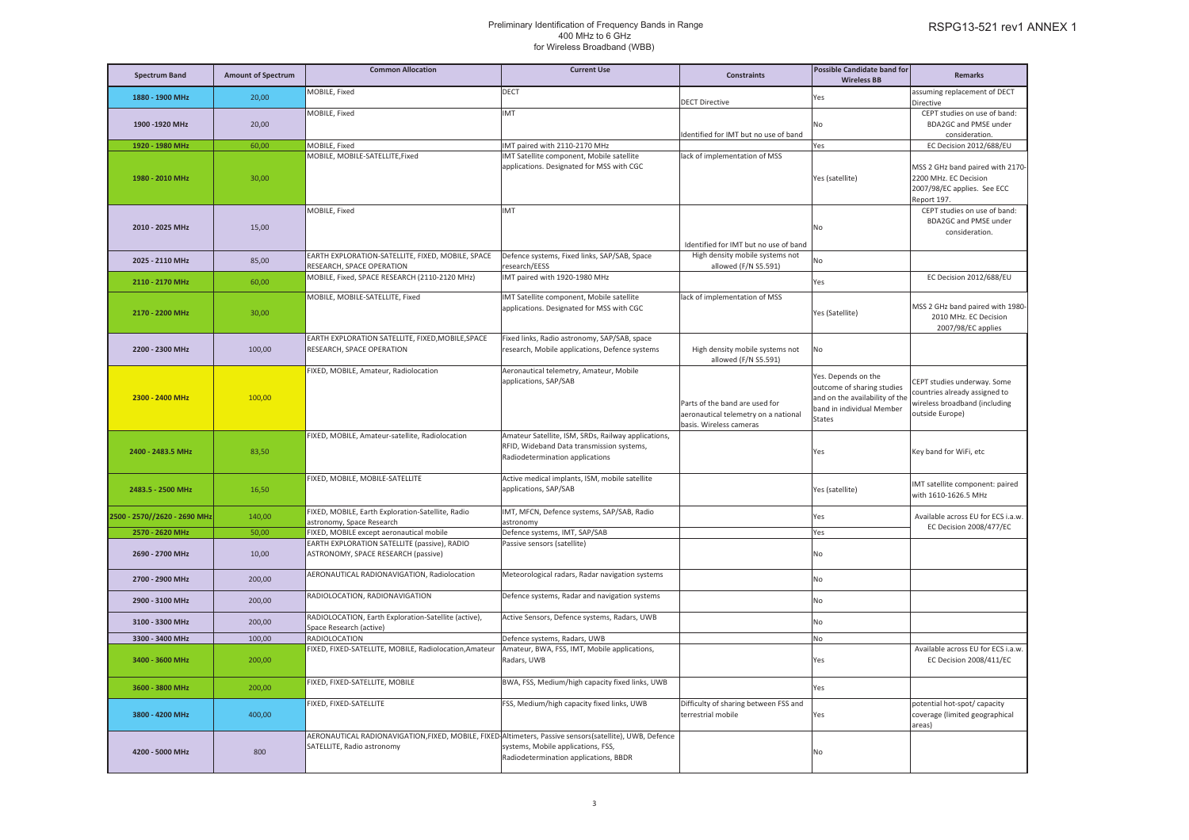| <b>Spectrum Band</b>         | <b>Amount of Spectrum</b> | <b>Common Allocation</b>                                                                                                              | <b>Current Use</b>                                                                                                                  | <b>Constraints</b>                                                                                | <b>Possible Candidate band for</b><br><b>Wireless BB</b>                                                                          | <b>Remarks</b>                                                                                                   |
|------------------------------|---------------------------|---------------------------------------------------------------------------------------------------------------------------------------|-------------------------------------------------------------------------------------------------------------------------------------|---------------------------------------------------------------------------------------------------|-----------------------------------------------------------------------------------------------------------------------------------|------------------------------------------------------------------------------------------------------------------|
| 1880 - 1900 MHz              | 20,00                     | MOBILE, Fixed                                                                                                                         | DECT                                                                                                                                | <b>DECT Directive</b>                                                                             | Yes                                                                                                                               | assuming replacement of DECT<br>Directive                                                                        |
| 1900-1920 MHz                | 20,00                     | MOBILE, Fixed                                                                                                                         | IMT                                                                                                                                 | dentified for IMT but no use of band                                                              | No                                                                                                                                | CEPT studies on use of band:<br>BDA2GC and PMSE under<br>consideration.                                          |
| 1920 - 1980 MHz              | 60,00                     | MOBILE, Fixed                                                                                                                         | IMT paired with 2110-2170 MHz                                                                                                       |                                                                                                   | Yes                                                                                                                               | EC Decision 2012/688/EU                                                                                          |
| 1980 - 2010 MHz              | 30,00                     | MOBILE, MOBILE-SATELLITE, Fixed                                                                                                       | IMT Satellite component, Mobile satellite<br>applications. Designated for MSS with CGC                                              | lack of implementation of MSS                                                                     | Yes (satellite)                                                                                                                   | MSS 2 GHz band paired with 2170-<br>2200 MHz. EC Decision<br>2007/98/EC applies. See ECC<br>Report 197.          |
| 2010 - 2025 MHz              | 15,00                     | MOBILE, Fixed                                                                                                                         | <b>IMT</b>                                                                                                                          | Identified for IMT but no use of band                                                             | No                                                                                                                                | CEPT studies on use of band:<br>BDA2GC and PMSE under<br>consideration.                                          |
| 2025 - 2110 MHz              | 85,00                     | EARTH EXPLORATION-SATELLITE, FIXED, MOBILE, SPACE<br>RESEARCH, SPACE OPERATION                                                        | Defence systems, Fixed links, SAP/SAB, Space<br>esearch/EESS                                                                        | High density mobile systems not<br>allowed (F/N S5.591)                                           | No.                                                                                                                               |                                                                                                                  |
| 2110 - 2170 MHz              | 60,00                     | MOBILE, Fixed, SPACE RESEARCH (2110-2120 MHz)                                                                                         | IMT paired with 1920-1980 MHz                                                                                                       |                                                                                                   | Yes                                                                                                                               | EC Decision 2012/688/EU                                                                                          |
| 2170 - 2200 MHz              | 30,00                     | MOBILE, MOBILE-SATELLITE, Fixed                                                                                                       | IMT Satellite component, Mobile satellite<br>applications. Designated for MSS with CGC                                              | lack of implementation of MSS                                                                     | Yes (Satellite)                                                                                                                   | MSS 2 GHz band paired with 1980-<br>2010 MHz. EC Decision<br>2007/98/EC applies                                  |
| 2200 - 2300 MHz              | 100,00                    | EARTH EXPLORATION SATELLITE, FIXED, MOBILE, SPACE<br>RESEARCH, SPACE OPERATION                                                        | Fixed links, Radio astronomy, SAP/SAB, space<br>research, Mobile applications, Defence systems                                      | High density mobile systems not<br>allowed (F/N S5.591)                                           | No                                                                                                                                |                                                                                                                  |
| 2300 - 2400 MHz              | 100,00                    | FIXED, MOBILE, Amateur, Radiolocation                                                                                                 | Aeronautical telemetry, Amateur, Mobile<br>applications, SAP/SAB                                                                    | Parts of the band are used for<br>aeronautical telemetry on a national<br>basis. Wireless cameras | Yes. Depends on the<br>outcome of sharing studies<br>and on the availability of the<br>band in individual Member<br><b>States</b> | CEPT studies underway. Some<br>countries already assigned to<br>wireless broadband (including<br>outside Europe) |
| 2400 - 2483.5 MHz            | 83,50                     | FIXED, MOBILE, Amateur-satellite, Radiolocation                                                                                       | Amateur Satellite, ISM, SRDs, Railway applications,<br>RFID, Wideband Data transmission systems,<br>Radiodetermination applications |                                                                                                   | Yes                                                                                                                               | Key band for WiFi, etc                                                                                           |
| 2483.5 - 2500 MHz            | 16,50                     | FIXED, MOBILE, MOBILE-SATELLITE                                                                                                       | Active medical implants, ISM, mobile satellite<br>applications, SAP/SAB                                                             |                                                                                                   | Yes (satellite)                                                                                                                   | IMT satellite component: paired<br>with 1610-1626.5 MHz                                                          |
| 2500 - 2570//2620 - 2690 MHz | 140,00                    | FIXED, MOBILE, Earth Exploration-Satellite, Radio<br>astronomy, Space Research                                                        | IMT, MFCN, Defence systems, SAP/SAB, Radio<br>astronomy                                                                             |                                                                                                   | Yes                                                                                                                               | Available across EU for ECS i.a.w.<br>EC Decision 2008/477/EC                                                    |
| 2570 - 2620 MHz              | 50,00                     | FIXED, MOBILE except aeronautical mobile                                                                                              | Defence systems, IMT, SAP/SAB                                                                                                       |                                                                                                   | Yes                                                                                                                               |                                                                                                                  |
| 2690 - 2700 MHz              | 10,00                     | EARTH EXPLORATION SATELLITE (passive), RADIO<br>ASTRONOMY, SPACE RESEARCH (passive)                                                   | Passive sensors (satellite)                                                                                                         |                                                                                                   | No                                                                                                                                |                                                                                                                  |
| 2700 - 2900 MHz              | 200,00                    | AERONAUTICAL RADIONAVIGATION, Radiolocation                                                                                           | Meteorological radars, Radar navigation systems                                                                                     |                                                                                                   | No                                                                                                                                |                                                                                                                  |
| 2900 - 3100 MHz              | 200,00                    | RADIOLOCATION, RADIONAVIGATION                                                                                                        | Defence systems, Radar and navigation systems                                                                                       |                                                                                                   | No                                                                                                                                |                                                                                                                  |
| 3100 - 3300 MHz              | 200,00                    | RADIOLOCATION, Earth Exploration-Satellite (active),<br>Space Research (active)                                                       | Active Sensors, Defence systems, Radars, UWB                                                                                        |                                                                                                   | No                                                                                                                                |                                                                                                                  |
| 3300 - 3400 MHz              | 100,00                    | RADIOLOCATION                                                                                                                         | Defence systems, Radars, UWB                                                                                                        |                                                                                                   | No                                                                                                                                |                                                                                                                  |
| 3400 - 3600 MHz              | 200,00                    | FIXED, FIXED-SATELLITE, MOBILE, Radiolocation, Amateur                                                                                | Amateur, BWA, FSS, IMT, Mobile applications,<br>Radars, UWB                                                                         |                                                                                                   | Yes                                                                                                                               | Available across EU for ECS i.a.w.<br>EC Decision 2008/411/EC                                                    |
| 3600 - 3800 MHz              | 200,00                    | FIXED, FIXED-SATELLITE, MOBILE                                                                                                        | BWA, FSS, Medium/high capacity fixed links, UWB                                                                                     |                                                                                                   | Yes                                                                                                                               |                                                                                                                  |
| 3800 - 4200 MHz              | 400,00                    | FIXED, FIXED-SATELLITE                                                                                                                | FSS, Medium/high capacity fixed links, UWB                                                                                          | Difficulty of sharing between FSS and<br>terrestrial mobile                                       | Yes                                                                                                                               | potential hot-spot/ capacity<br>coverage (limited geographical<br>areas)                                         |
| 4200 - 5000 MHz              | 800                       | AERONAUTICAL RADIONAVIGATION, FIXED, MOBILE, FIXED Altimeters, Passive sensors(satellite), UWB, Defence<br>SATELLITE, Radio astronomy | systems, Mobile applications, FSS,<br>Radiodetermination applications, BBDR                                                         |                                                                                                   | No                                                                                                                                |                                                                                                                  |